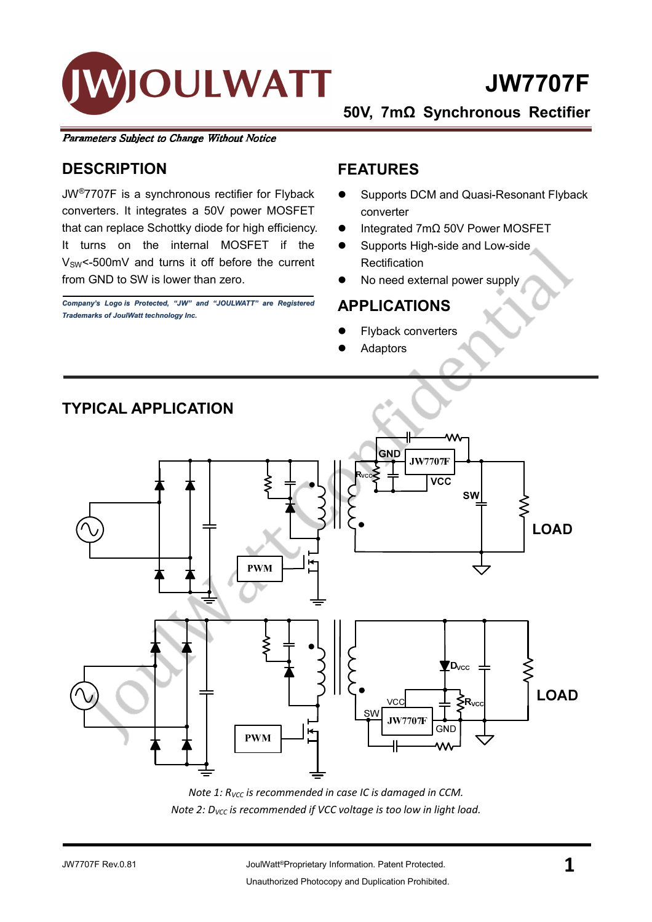

50V, 7mΩ Synchronous Rectifier

Parameters Subject to Change Without Notice

# **DESCRIPTION**

JW®7707F is a synchronous rectifier for Flyback converters. It integrates a 50V power MOSFET that can replace Schottky diode for high efficiency. It turns on the internal MOSFET if the V<sub>SW</sub><-500mV and turns it off before the current from GND to SW is lower than zero.

Company's Logo is Protected, "JW" and "JOULWATT" are Registered Trademarks of JoulWatt technology Inc.

## FEATURES

- Supports DCM and Quasi-Resonant Flyback converter
- $\bullet$  Integrated 7mΩ 50V Power MOSFET
- Supports High-side and Low-side **Rectification**
- No need external power supply

## APPLICATIONS

- Flyback converters
- Adaptors



Note 1:  $R_{VCC}$  is recommended in case IC is damaged in CCM. Note 2: D<sub>VCC</sub> is recommended if VCC voltage is too low in light load.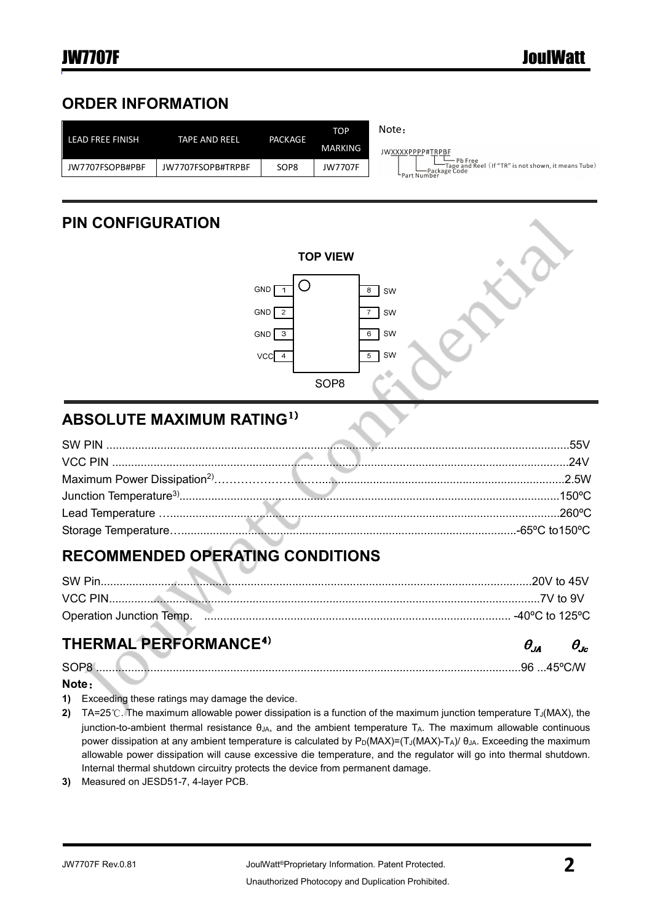# ORDER INFORMATION

| LEAD FREE FINISH | TAPE AND REEL     | PACKAGE          | TOP     | Note:                                                                            |  |  |  |
|------------------|-------------------|------------------|---------|----------------------------------------------------------------------------------|--|--|--|
|                  |                   |                  | MARKING | JWXXXXPPPP#TRPBF                                                                 |  |  |  |
| JW7707FSOPB#PBF  | JW7707FSOPB#TRPBF | SOP <sub>8</sub> | JW7707F | Pb Free<br>—Tape and Reel (If "TR" is not shown, it means Tube)<br>-Package Code |  |  |  |
|                  |                   |                  |         |                                                                                  |  |  |  |

# PIN CONFIGURATION



# **ABSOLUTE MAXIMUM RATING1)**

# RECOMMENDED OPERATING CONDITIONS

| SW Pin                   |                     |
|--------------------------|---------------------|
| VCC PIN                  |                     |
| Operation Junction Temp. | -40°C to 125°C $\,$ |

# THERMAL PERFORMANCE<sup>4)</sup>

SOP8 .....................................................................................................................................96 ...45ºC/W

#### Note:

- 1) Exceeding these ratings may damage the device.
- 2) TA=25 °C. The maximum allowable power dissipation is a function of the maximum junction temperature T<sub>J</sub>(MAX), the junction-to-ambient thermal resistance θJA, and the ambient temperature TA. The maximum allowable continuous power dissipation at any ambient temperature is calculated by  $P_D(MAX) = (T_J(MAX) - T_A)/ \theta_{JA}$ . Exceeding the maximum allowable power dissipation will cause excessive die temperature, and the regulator will go into thermal shutdown. Internal thermal shutdown circuitry protects the device from permanent damage.
- 3) Measured on JESD51-7, 4-layer PCB.

 $\theta_{IA}$ 

 $\theta_{bc}$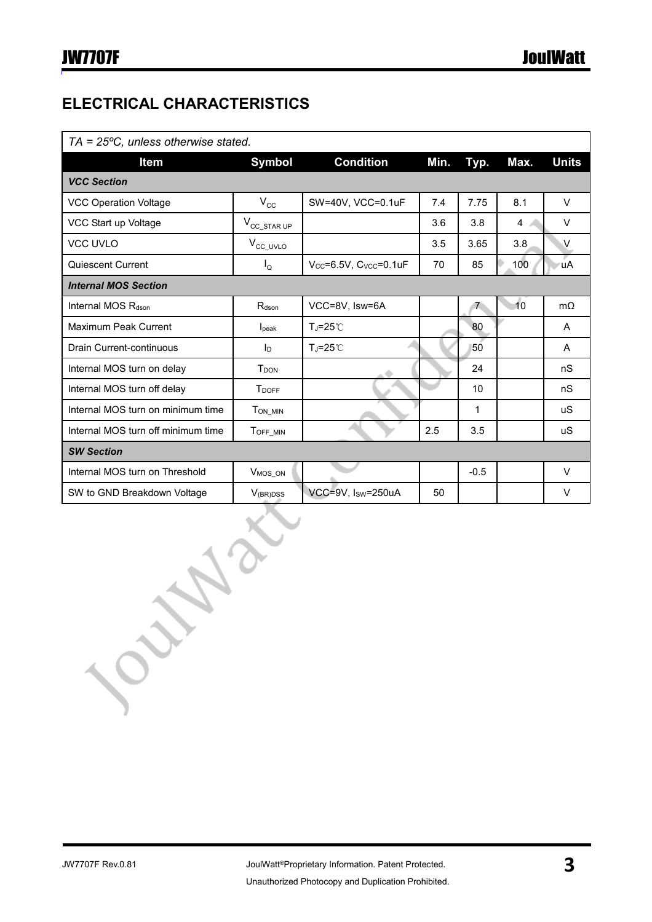# ELECTRICAL CHARACTERISTICS

| $TA = 25^{\circ}C$ , unless otherwise stated. |                          |                                     |      |        |      |              |
|-----------------------------------------------|--------------------------|-------------------------------------|------|--------|------|--------------|
| Item                                          | <b>Symbol</b>            | <b>Condition</b>                    | Min. | Typ.   | Max. | <b>Units</b> |
| <b>VCC Section</b>                            |                          |                                     |      |        |      |              |
| <b>VCC Operation Voltage</b>                  | $V_{\rm CC}$             | SW=40V, VCC=0.1uF                   | 7.4  | 7.75   | 8.1  | V            |
| VCC Start up Voltage                          | $V_{\text{CC\_STAR UP}}$ |                                     | 3.6  | 3.8    | 4    | $\vee$       |
| <b>VCC UVLO</b>                               | $V_{\text{CC_UVLO}}$     |                                     | 3.5  | 3.65   | 3.8  | $\vee$       |
| Quiescent Current                             | $I_{\mathsf{Q}}$         | $V_{CC} = 6.5V$ , $C_{VCC} = 0.1uF$ | 70   | 85     | 100  | <b>uA</b>    |
| <b>Internal MOS Section</b>                   |                          |                                     |      |        |      |              |
| Internal MOS R <sub>dson</sub>                | $R_{\text{dson}}$        | VCC=8V, Isw=6A                      |      |        | 10   | $m\Omega$    |
| <b>Maximum Peak Current</b>                   | <b>I</b> peak            | TJ=25℃                              |      | 80     |      | A            |
| <b>Drain Current-continuous</b>               | ID                       | $T_J = 25^{\circ}$                  |      | 50     |      | A            |
| Internal MOS turn on delay                    | <b>T</b> <sub>DON</sub>  |                                     |      | 24     |      | nS           |
| Internal MOS turn off delay                   | <b>T</b> DOFF            |                                     |      | 10     |      | nS           |
| Internal MOS turn on minimum time             | TON_MIN                  |                                     |      | 1      |      | <b>uS</b>    |
| Internal MOS turn off minimum time            | TOFF_MIN                 |                                     | 2.5  | 3.5    |      | <b>uS</b>    |
| <b>SW Section</b>                             |                          |                                     |      |        |      |              |
| Internal MOS turn on Threshold                | V <sub>MOS_ON</sub>      |                                     |      | $-0.5$ |      | $\vee$       |
| SW to GND Breakdown Voltage                   | $V_{(BR)DSS}$            | VCC=9V, I <sub>sw</sub> =250uA      | 50   |        |      | $\vee$       |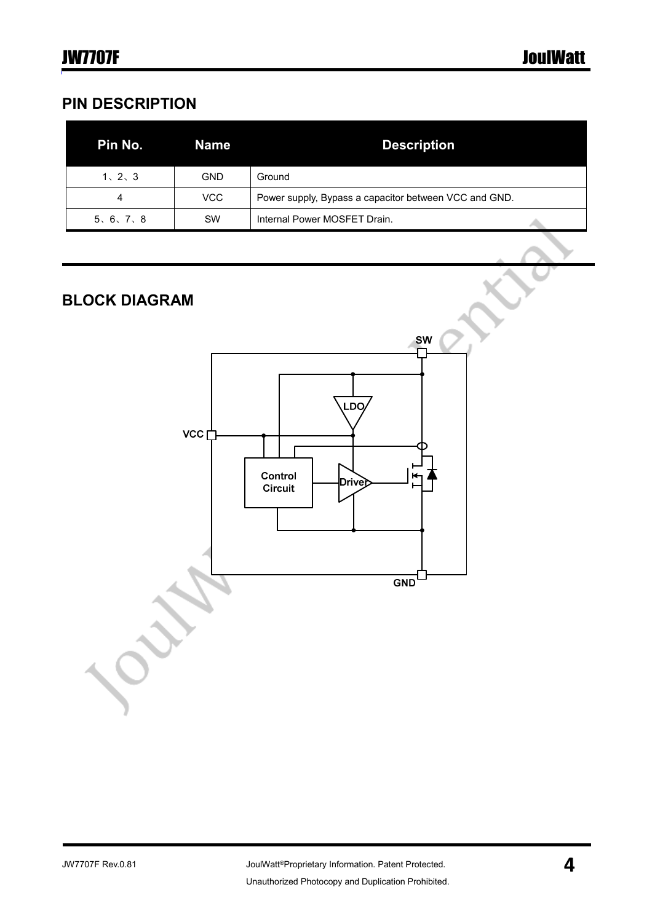# PIN DESCRIPTION

| Pin No.    | Name       | <b>Description</b>                                    |
|------------|------------|-------------------------------------------------------|
| 1, 2, 3    | <b>GND</b> | Ground                                                |
|            | <b>VCC</b> | Power supply, Bypass a capacitor between VCC and GND. |
| 5, 6, 7, 8 | SW         | Internal Power MOSFET Drain.                          |

# BLOCK DIAGRAM

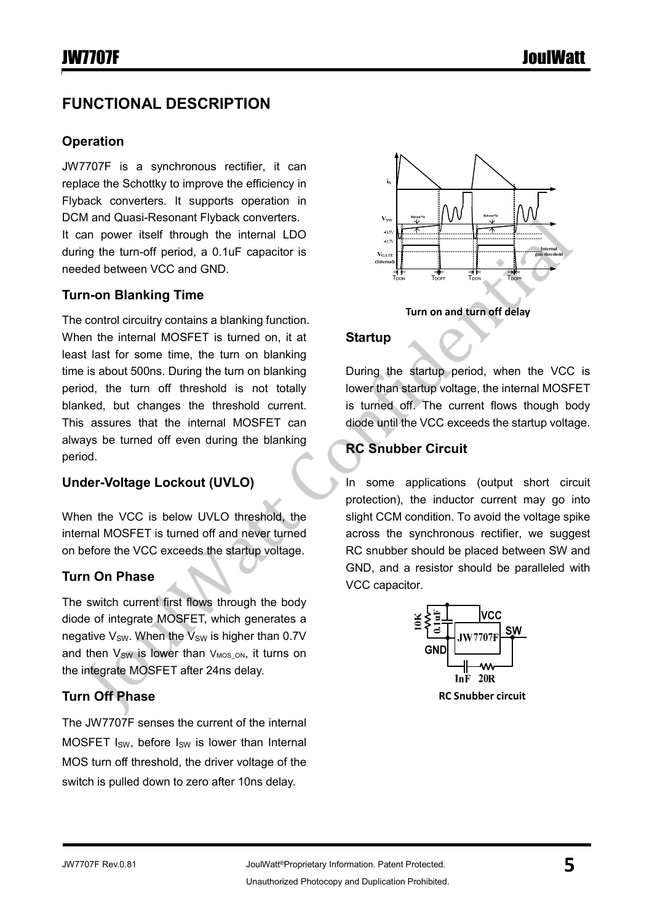# FUNCTIONAL DESCRIPTION

#### **Operation**

JW7707F is a synchronous rectifier, it can replace the Schottky to improve the efficiency in Flyback converters. It supports operation in DCM and Quasi-Resonant Flyback converters. It can power itself through the internal LDO during the turn-off period, a 0.1uF capacitor is needed between VCC and GND.

#### Turn-on Blanking Time

The control circuitry contains a blanking function. When the internal MOSFET is turned on, it at least last for some time, the turn on blanking time is about 500ns. During the turn on blanking period, the turn off threshold is not totally blanked, but changes the threshold current. This assures that the internal MOSFET can always be turned off even during the blanking period.

#### Under-Voltage Lockout (UVLO)

When the VCC is below UVLO threshold, the internal MOSFET is turned off and never turned on before the VCC exceeds the startup voltage.

#### Turn On Phase

The switch current first flows through the body diode of integrate MOSFET, which generates a negative V<sub>SW</sub>. When the V<sub>SW</sub> is higher than 0.7V and then  $V_{SW}$  is lower than  $V_{MOS}$ <sub>ON</sub>, it turns on the integrate MOSFET after 24ns delay.

#### Turn Off Phase

The JW7707F senses the current of the internal MOSFET I<sub>SW</sub>, before I<sub>SW</sub> is lower than Internal MOS turn off threshold, the driver voltage of the switch is pulled down to zero after 10ns delay.



#### **Startup**

During the startup period, when the VCC is lower than startup voltage, the internal MOSFET is turned off. The current flows though body diode until the VCC exceeds the startup voltage.

#### RC Snubber Circuit

In some applications (output short circuit protection), the inductor current may go into slight CCM condition. To avoid the voltage spike across the synchronous rectifier, we suggest RC snubber should be placed between SW and GND, and a resistor should be paralleled with VCC capacitor.

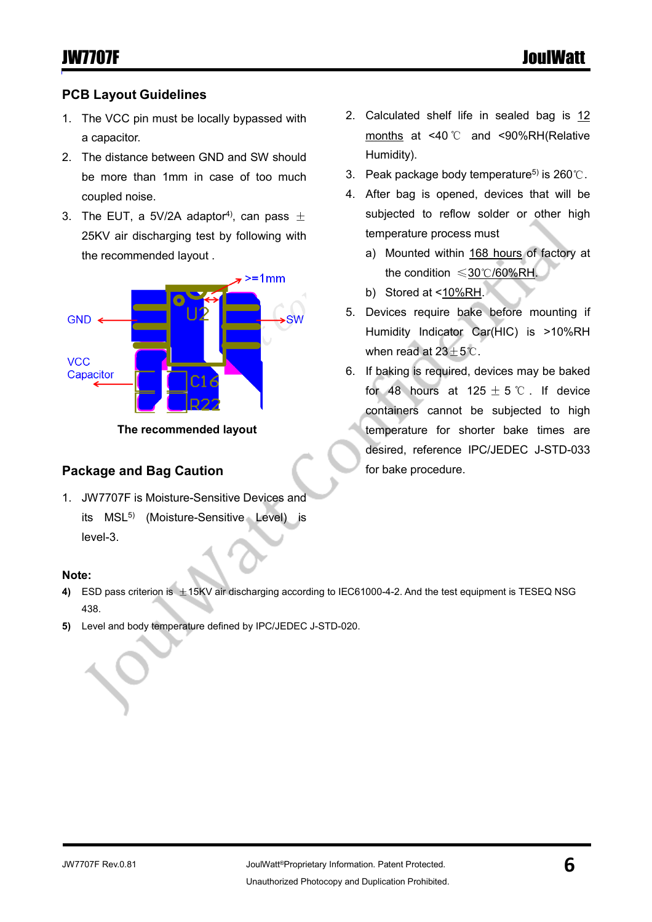#### PCB Layout Guidelines

- 1. The VCC pin must be locally bypassed with a capacitor.
- 2. The distance between GND and SW should be more than 1mm in case of too much coupled noise.
- 3. The EUT, a 5V/2A adaptor<sup>4)</sup>, can pass  $\pm$ 25KV air discharging test by following with the recommended layout .



#### The recommended layout

### Package and Bag Caution

1. JW7707F is Moisture-Sensitive Devices and its MSL<sup>5)</sup> (Moisture-Sensitive Level) is level-3.

- 2. Calculated shelf life in sealed bag is 12 months at <40 ℃ and <90%RH(Relative Humidity).
- 3. Peak package body temperature<sup>5)</sup> is 260 °C.
- 4. After bag is opened, devices that will be subjected to reflow solder or other high temperature process must
	- a) Mounted within 168 hours of factory at the condition ≤30℃/60%RH.
	- b) Stored at <10%RH.
- 5. Devices require bake before mounting if Humidity Indicator Car(HIC) is >10%RH when read at  $23\pm5^{\circ}$ C.
- 6. If baking is required, devices may be baked for 48 hours at 125  $\pm$  5 ℃ . If device containers cannot be subjected to high temperature for shorter bake times are desired, reference IPC/JEDEC J-STD-033 for bake procedure.

#### Note:

- 4) ESD pass criterion is  $\pm$ 15KV air discharging according to IEC61000-4-2. And the test equipment is TESEQ NSG 438.
- 5) Level and body temperature defined by IPC/JEDEC J-STD-020.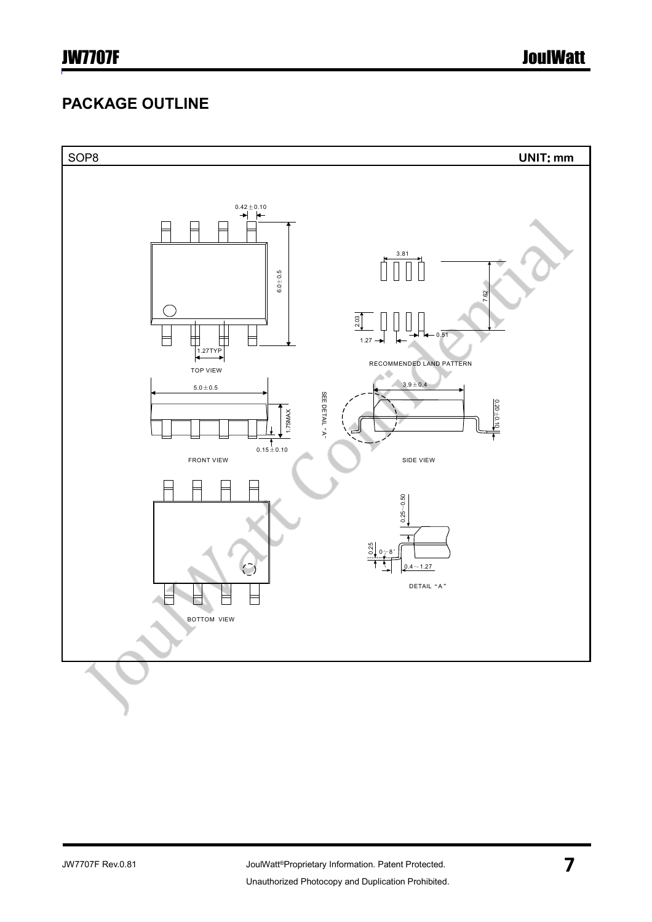# PACKAGE OUTLINE